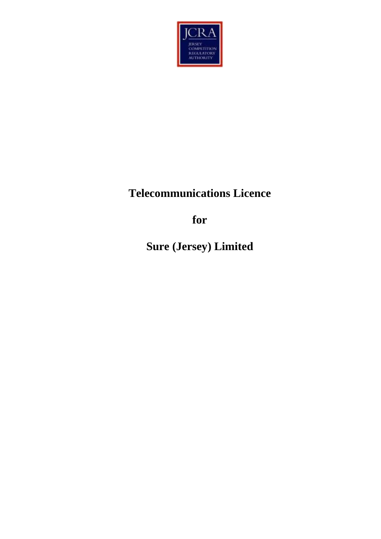

# **Telecommunications Licence**

**for**

**Sure (Jersey) Limited**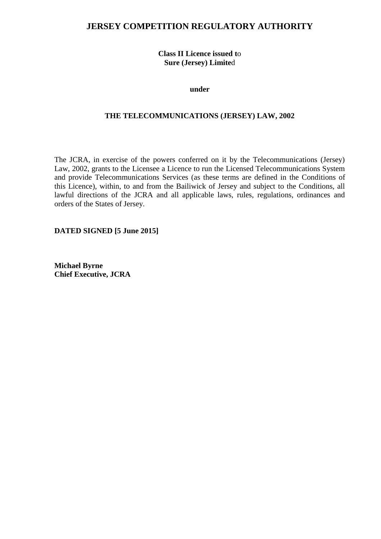# **JERSEY COMPETITION REGULATORY AUTHORITY**

**Class II Licence issued t**o **Sure (Jersey) Limite**d

**under**

#### **THE TELECOMMUNICATIONS (JERSEY) LAW, 2002**

The JCRA, in exercise of the powers conferred on it by the Telecommunications (Jersey) Law, 2002, grants to the Licensee a Licence to run the Licensed Telecommunications System and provide Telecommunications Services (as these terms are defined in the Conditions of this Licence), within, to and from the Bailiwick of Jersey and subject to the Conditions, all lawful directions of the JCRA and all applicable laws, rules, regulations, ordinances and orders of the States of Jersey.

**DATED SIGNED [5 June 2015]**

**Michael Byrne Chief Executive, JCRA**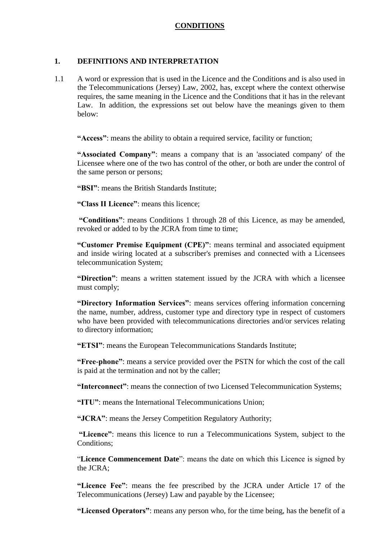#### **CONDITIONS**

#### **1. DEFINITIONS AND INTERPRETATION**

1.1 A word or expression that is used in the Licence and the Conditions and is also used in the Telecommunications (Jersey) Law, 2002, has, except where the context otherwise requires, the same meaning in the Licence and the Conditions that it has in the relevant Law. In addition, the expressions set out below have the meanings given to them below:

**"Access"**: means the ability to obtain a required service, facility or function;

**"Associated Company"**: means a company that is an 'associated company' of the Licensee where one of the two has control of the other, or both are under the control of the same person or persons;

**"BSI"**: means the British Standards Institute;

**"Class II Licence"**: means this licence;

**"Conditions"**: means Conditions 1 through 28 of this Licence, as may be amended, revoked or added to by the JCRA from time to time;

**"Customer Premise Equipment (CPE)"**: means terminal and associated equipment and inside wiring located at a subscriber's premises and connected with a Licensees telecommunication System;

**"Direction"**: means a written statement issued by the JCRA with which a licensee must comply;

**"Directory Information Services"**: means services offering information concerning the name, number, address, customer type and directory type in respect of customers who have been provided with telecommunications directories and/or services relating to directory information;

**"ETSI"**: means the European Telecommunications Standards Institute;

**"Free**-**phone"**: means a service provided over the PSTN for which the cost of the call is paid at the termination and not by the caller;

**"Interconnect"**: means the connection of two Licensed Telecommunication Systems;

**"ITU"**: means the International Telecommunications Union;

**"JCRA"**: means the Jersey Competition Regulatory Authority;

**"Licence"**: means this licence to run a Telecommunications System, subject to the Conditions;

"**Licence Commencement Date**": means the date on which this Licence is signed by the JCRA;

**"Licence Fee"**: means the fee prescribed by the JCRA under Article 17 of the Telecommunications (Jersey) Law and payable by the Licensee;

**"Licensed Operators"**: means any person who, for the time being, has the benefit of a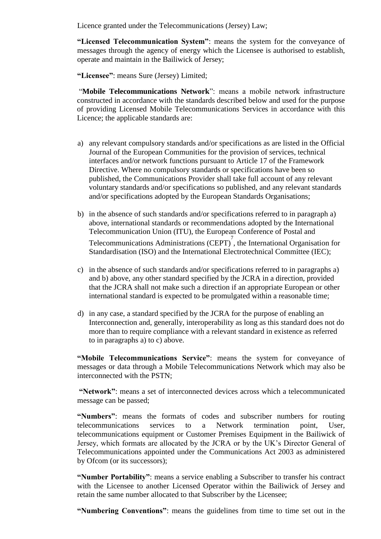Licence granted under the Telecommunications (Jersey) Law;

**"Licensed Telecommunication System"**: means the system for the conveyance of messages through the agency of energy which the Licensee is authorised to establish, operate and maintain in the Bailiwick of Jersey;

**"Licensee"**: means Sure (Jersey) Limited;

"**Mobile Telecommunications Network**": means a mobile network infrastructure constructed in accordance with the standards described below and used for the purpose of providing Licensed Mobile Telecommunications Services in accordance with this Licence; the applicable standards are:

- a) any relevant compulsory standards and/or specifications as are listed in the Official Journal of the European Communities for the provision of services, technical interfaces and/or network functions pursuant to Article 17 of the Framework Directive. Where no compulsory standards or specifications have been so published, the Communications Provider shall take full account of any relevant voluntary standards and/or specifications so published, and any relevant standards and/or specifications adopted by the European Standards Organisations;
- b) in the absence of such standards and/or specifications referred to in paragraph a) above, international standards or recommendations adopted by the International Telecommunication Union (ITU), the European Conference of Postal and Telecommunications Administrations (CEPT) 7 , the International Organisation for Standardisation (ISO) and the International Electrotechnical Committee (IEC);
- c) in the absence of such standards and/or specifications referred to in paragraphs a) and b) above, any other standard specified by the JCRA in a direction, provided that the JCRA shall not make such a direction if an appropriate European or other international standard is expected to be promulgated within a reasonable time;
- d) in any case, a standard specified by the JCRA for the purpose of enabling an Interconnection and, generally, interoperability as long as this standard does not do more than to require compliance with a relevant standard in existence as referred to in paragraphs a) to c) above.

**"Mobile Telecommunications Service"**: means the system for conveyance of messages or data through a Mobile Telecommunications Network which may also be interconnected with the PSTN;

**"Network"**: means a set of interconnected devices across which a telecommunicated message can be passed;

**"Numbers"**: means the formats of codes and subscriber numbers for routing telecommunications services to a Network termination point, User, telecommunications equipment or Customer Premises Equipment in the Bailiwick of Jersey, which formats are allocated by the JCRA or by the UK's Director General of Telecommunications appointed under the Communications Act 2003 as administered by Ofcom (or its successors);

**"Number Portability"**: means a service enabling a Subscriber to transfer his contract with the Licensee to another Licensed Operator within the Bailiwick of Jersey and retain the same number allocated to that Subscriber by the Licensee;

**"Numbering Conventions"**: means the guidelines from time to time set out in the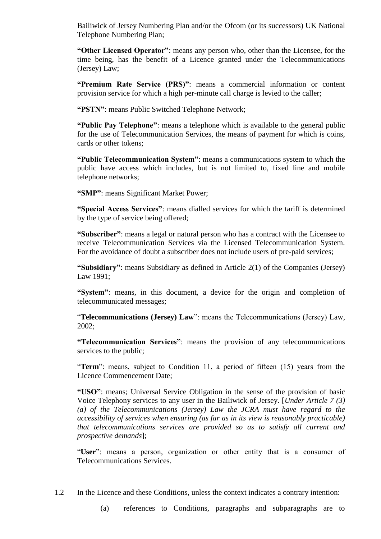Bailiwick of Jersey Numbering Plan and/or the Ofcom (or its successors) UK National Telephone Numbering Plan;

**"Other Licensed Operator"**: means any person who, other than the Licensee, for the time being, has the benefit of a Licence granted under the Telecommunications (Jersey) Law;

**"Premium Rate Service (PRS)"**: means a commercial information or content provision service for which a high per-minute call charge is levied to the caller;

**"PSTN"**: means Public Switched Telephone Network;

**"Public Pay Telephone"**: means a telephone which is available to the general public for the use of Telecommunication Services, the means of payment for which is coins, cards or other tokens;

**"Public Telecommunication System"**: means a communications system to which the public have access which includes, but is not limited to, fixed line and mobile telephone networks;

**"SMP"**: means Significant Market Power;

**"Special Access Services"**: means dialled services for which the tariff is determined by the type of service being offered;

**"Subscriber"**: means a legal or natural person who has a contract with the Licensee to receive Telecommunication Services via the Licensed Telecommunication System. For the avoidance of doubt a subscriber does not include users of pre-paid services;

**"Subsidiary"**: means Subsidiary as defined in Article 2(1) of the Companies (Jersey) Law 1991;

**"System"**: means, in this document, a device for the origin and completion of telecommunicated messages;

"**Telecommunications (Jersey) Law**": means the Telecommunications (Jersey) Law, 2002;

**"Telecommunication Services"**: means the provision of any telecommunications services to the public;

"**Term**": means, subject to Condition 11, a period of fifteen (15) years from the Licence Commencement Date;

**"USO"**: means; Universal Service Obligation in the sense of the provision of basic Voice Telephony services to any user in the Bailiwick of Jersey. [*Under Article 7 (3) (a) of the Telecommunications (Jersey) Law the JCRA must have regard to the accessibility of services when ensuring (as far as in its view is reasonably practicable) that telecommunications services are provided so as to satisfy all current and prospective demands*];

"**User**": means a person, organization or other entity that is a consumer of Telecommunications Services.

1.2 In the Licence and these Conditions, unless the context indicates a contrary intention:

(a) references to Conditions, paragraphs and subparagraphs are to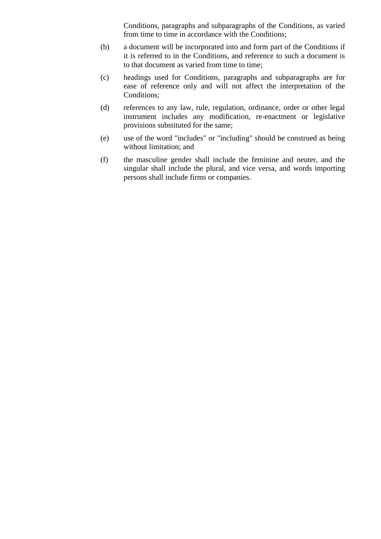Conditions, paragraphs and subparagraphs of the Conditions, as varied from time to time in accordance with the Conditions;

- (b) a document will be incorporated into and form part of the Conditions if it is referred to in the Conditions, and reference to such a document is to that document as varied from time to time;
- (c) headings used for Conditions, paragraphs and subparagraphs are for ease of reference only and will not affect the interpretation of the Conditions;
- (d) references to any law, rule, regulation, ordinance, order or other legal instrument includes any modification, re-enactment or legislative provisions substituted for the same;
- (e) use of the word "includes" or "including" should be construed as being without limitation; and
- (f) the masculine gender shall include the feminine and neuter, and the singular shall include the plural, and vice versa, and words importing persons shall include firms or companies.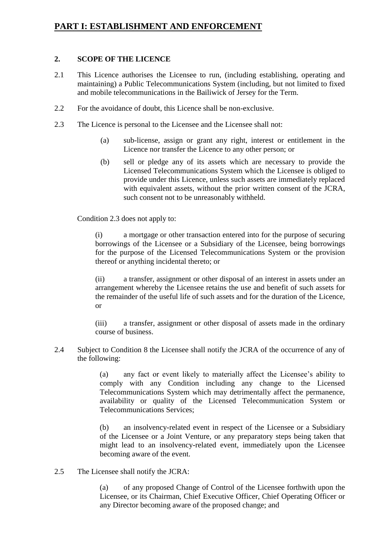# **PART I: ESTABLISHMENT AND ENFORCEMENT**

## **2. SCOPE OF THE LICENCE**

- 2.1 This Licence authorises the Licensee to run, (including establishing, operating and maintaining) a Public Telecommunications System (including, but not limited to fixed and mobile telecommunications in the Bailiwick of Jersey for the Term.
- 2.2 For the avoidance of doubt, this Licence shall be non-exclusive.
- 2.3 The Licence is personal to the Licensee and the Licensee shall not:
	- (a) sub-license, assign or grant any right, interest or entitlement in the Licence nor transfer the Licence to any other person; or
	- (b) sell or pledge any of its assets which are necessary to provide the Licensed Telecommunications System which the Licensee is obliged to provide under this Licence, unless such assets are immediately replaced with equivalent assets, without the prior written consent of the JCRA, such consent not to be unreasonably withheld.

Condition 2.3 does not apply to:

(i) a mortgage or other transaction entered into for the purpose of securing borrowings of the Licensee or a Subsidiary of the Licensee, being borrowings for the purpose of the Licensed Telecommunications System or the provision thereof or anything incidental thereto; or

(ii) a transfer, assignment or other disposal of an interest in assets under an arrangement whereby the Licensee retains the use and benefit of such assets for the remainder of the useful life of such assets and for the duration of the Licence, or

(iii) a transfer, assignment or other disposal of assets made in the ordinary course of business.

2.4 Subject to Condition 8 the Licensee shall notify the JCRA of the occurrence of any of the following:

> (a) any fact or event likely to materially affect the Licensee's ability to comply with any Condition including any change to the Licensed Telecommunications System which may detrimentally affect the permanence, availability or quality of the Licensed Telecommunication System or Telecommunications Services;

> (b) an insolvency-related event in respect of the Licensee or a Subsidiary of the Licensee or a Joint Venture, or any preparatory steps being taken that might lead to an insolvency-related event, immediately upon the Licensee becoming aware of the event.

2.5 The Licensee shall notify the JCRA:

(a) of any proposed Change of Control of the Licensee forthwith upon the Licensee, or its Chairman, Chief Executive Officer, Chief Operating Officer or any Director becoming aware of the proposed change; and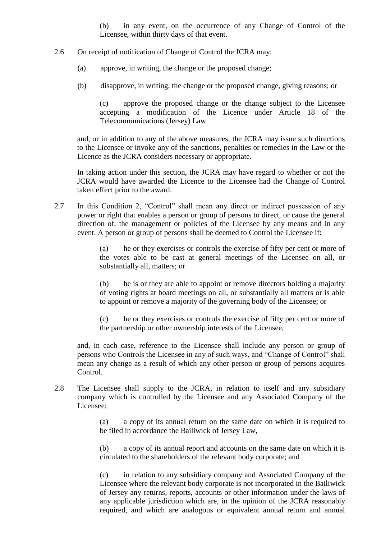(b) in any event, on the occurrence of any Change of Control of the Licensee, within thirty days of that event.

- 2.6 On receipt of notification of Change of Control the JCRA may:
	- (a) approve, in writing, the change or the proposed change;
	- (b) disapprove, in writing, the change or the proposed change, giving reasons; or

(c) approve the proposed change or the change subject to the Licensee accepting a modification of the Licence under Article 18 of the Telecommunications (Jersey) Law

and, or in addition to any of the above measures, the JCRA may issue such directions to the Licensee or invoke any of the sanctions, penalties or remedies in the Law or the Licence as the JCRA considers necessary or appropriate.

In taking action under this section, the JCRA may have regard to whether or not the JCRA would have awarded the Licence to the Licensee had the Change of Control taken effect prior to the award.

2.7 In this Condition 2, "Control" shall mean any direct or indirect possession of any power or right that enables a person or group of persons to direct, or cause the general direction of, the management or policies of the Licensee by any means and in any event. A person or group of persons shall be deemed to Control the Licensee if:

> (a) he or they exercises or controls the exercise of fifty per cent or more of the votes able to be cast at general meetings of the Licensee on all, or substantially all, matters; or

> (b) he is or they are able to appoint or remove directors holding a majority of voting rights at board meetings on all, or substantially all matters or is able to appoint or remove a majority of the governing body of the Licensee; or

> (c) he or they exercises or controls the exercise of fifty per cent or more of the partnership or other ownership interests of the Licensee,

and, in each case, reference to the Licensee shall include any person or group of persons who Controls the Licensee in any of such ways, and "Change of Control" shall mean any change as a result of which any other person or group of persons acquires Control.

2.8 The Licensee shall supply to the JCRA, in relation to itself and any subsidiary company which is controlled by the Licensee and any Associated Company of the Licensee:

> (a) a copy of its annual return on the same date on which it is required to be filed in accordance the Bailiwick of Jersey Law,

> (b) a copy of its annual report and accounts on the same date on which it is circulated to the shareholders of the relevant body corporate; and

> (c) in relation to any subsidiary company and Associated Company of the Licensee where the relevant body corporate is not incorporated in the Bailiwick of Jersey any returns, reports, accounts or other information under the laws of any applicable jurisdiction which are, in the opinion of the JCRA reasonably required, and which are analogous or equivalent annual return and annual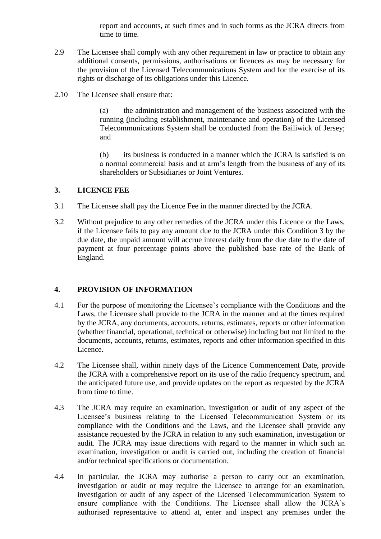report and accounts, at such times and in such forms as the JCRA directs from time to time.

- 2.9 The Licensee shall comply with any other requirement in law or practice to obtain any additional consents, permissions, authorisations or licences as may be necessary for the provision of the Licensed Telecommunications System and for the exercise of its rights or discharge of its obligations under this Licence.
- 2.10 The Licensee shall ensure that:

(a) the administration and management of the business associated with the running (including establishment, maintenance and operation) of the Licensed Telecommunications System shall be conducted from the Bailiwick of Jersey; and

(b) its business is conducted in a manner which the JCRA is satisfied is on a normal commercial basis and at arm's length from the business of any of its shareholders or Subsidiaries or Joint Ventures.

#### **3. LICENCE FEE**

- 3.1 The Licensee shall pay the Licence Fee in the manner directed by the JCRA.
- 3.2 Without prejudice to any other remedies of the JCRA under this Licence or the Laws, if the Licensee fails to pay any amount due to the JCRA under this Condition 3 by the due date, the unpaid amount will accrue interest daily from the due date to the date of payment at four percentage points above the published base rate of the Bank of England.

# **4. PROVISION OF INFORMATION**

- 4.1 For the purpose of monitoring the Licensee's compliance with the Conditions and the Laws, the Licensee shall provide to the JCRA in the manner and at the times required by the JCRA, any documents, accounts, returns, estimates, reports or other information (whether financial, operational, technical or otherwise) including but not limited to the documents, accounts, returns, estimates, reports and other information specified in this Licence.
- 4.2 The Licensee shall, within ninety days of the Licence Commencement Date, provide the JCRA with a comprehensive report on its use of the radio frequency spectrum, and the anticipated future use, and provide updates on the report as requested by the JCRA from time to time.
- 4.3 The JCRA may require an examination, investigation or audit of any aspect of the Licensee's business relating to the Licensed Telecommunication System or its compliance with the Conditions and the Laws, and the Licensee shall provide any assistance requested by the JCRA in relation to any such examination, investigation or audit. The JCRA may issue directions with regard to the manner in which such an examination, investigation or audit is carried out, including the creation of financial and/or technical specifications or documentation.
- 4.4 In particular, the JCRA may authorise a person to carry out an examination, investigation or audit or may require the Licensee to arrange for an examination, investigation or audit of any aspect of the Licensed Telecommunication System to ensure compliance with the Conditions. The Licensee shall allow the JCRA's authorised representative to attend at, enter and inspect any premises under the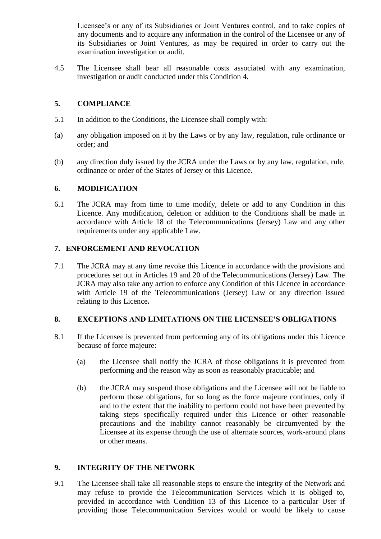Licensee's or any of its Subsidiaries or Joint Ventures control, and to take copies of any documents and to acquire any information in the control of the Licensee or any of its Subsidiaries or Joint Ventures, as may be required in order to carry out the examination investigation or audit.

4.5 The Licensee shall bear all reasonable costs associated with any examination, investigation or audit conducted under this Condition 4.

## **5. COMPLIANCE**

- 5.1 In addition to the Conditions, the Licensee shall comply with:
- (a) any obligation imposed on it by the Laws or by any law, regulation, rule ordinance or order; and
- (b) any direction duly issued by the JCRA under the Laws or by any law, regulation, rule, ordinance or order of the States of Jersey or this Licence.

#### **6. MODIFICATION**

6.1 The JCRA may from time to time modify, delete or add to any Condition in this Licence. Any modification, deletion or addition to the Conditions shall be made in accordance with Article 18 of the Telecommunications (Jersey) Law and any other requirements under any applicable Law.

#### **7. ENFORCEMENT AND REVOCATION**

7.1 The JCRA may at any time revoke this Licence in accordance with the provisions and procedures set out in Articles 19 and 20 of the Telecommunications (Jersey) Law. The JCRA may also take any action to enforce any Condition of this Licence in accordance with Article 19 of the Telecommunications (Jersey) Law or any direction issued relating to this Licence**.** 

## **8. EXCEPTIONS AND LIMITATIONS ON THE LICENSEE'S OBLIGATIONS**

- 8.1 If the Licensee is prevented from performing any of its obligations under this Licence because of force majeure:
	- (a) the Licensee shall notify the JCRA of those obligations it is prevented from performing and the reason why as soon as reasonably practicable; and
	- (b) the JCRA may suspend those obligations and the Licensee will not be liable to perform those obligations, for so long as the force majeure continues, only if and to the extent that the inability to perform could not have been prevented by taking steps specifically required under this Licence or other reasonable precautions and the inability cannot reasonably be circumvented by the Licensee at its expense through the use of alternate sources, work-around plans or other means.

#### **9. INTEGRITY OF THE NETWORK**

9.1 The Licensee shall take all reasonable steps to ensure the integrity of the Network and may refuse to provide the Telecommunication Services which it is obliged to, provided in accordance with Condition 13 of this Licence to a particular User if providing those Telecommunication Services would or would be likely to cause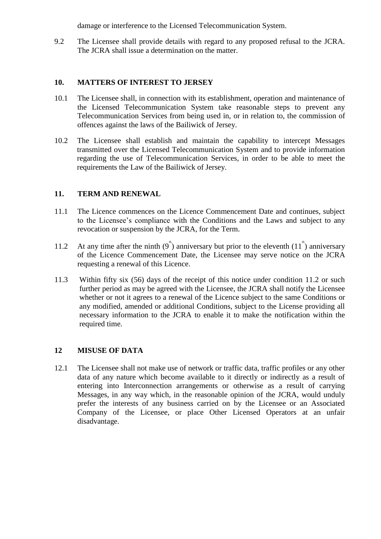damage or interference to the Licensed Telecommunication System.

9.2 The Licensee shall provide details with regard to any proposed refusal to the JCRA. The JCRA shall issue a determination on the matter.

#### **10. MATTERS OF INTEREST TO JERSEY**

- 10.1 The Licensee shall, in connection with its establishment, operation and maintenance of the Licensed Telecommunication System take reasonable steps to prevent any Telecommunication Services from being used in, or in relation to, the commission of offences against the laws of the Bailiwick of Jersey.
- 10.2 The Licensee shall establish and maintain the capability to intercept Messages transmitted over the Licensed Telecommunication System and to provide information regarding the use of Telecommunication Services, in order to be able to meet the requirements the Law of the Bailiwick of Jersey.

#### **11. TERM AND RENEWAL**

- 11.1 The Licence commences on the Licence Commencement Date and continues, subject to the Licensee's compliance with the Conditions and the Laws and subject to any revocation or suspension by the JCRA, for the Term.
- 11.2 At any time after the ninth  $(9^{\text{th}})$  anniversary but prior to the eleventh  $(11^{\text{th}})$  anniversary of the Licence Commencement Date, the Licensee may serve notice on the JCRA requesting a renewal of this Licence.
- 11.3 Within fifty six (56) days of the receipt of this notice under condition 11.2 or such further period as may be agreed with the Licensee, the JCRA shall notify the Licensee whether or not it agrees to a renewal of the Licence subject to the same Conditions or any modified, amended or additional Conditions, subject to the License providing all necessary information to the JCRA to enable it to make the notification within the required time.

#### **12 MISUSE OF DATA**

12.1 The Licensee shall not make use of network or traffic data, traffic profiles or any other data of any nature which become available to it directly or indirectly as a result of entering into Interconnection arrangements or otherwise as a result of carrying Messages, in any way which, in the reasonable opinion of the JCRA, would unduly prefer the interests of any business carried on by the Licensee or an Associated Company of the Licensee, or place Other Licensed Operators at an unfair disadvantage.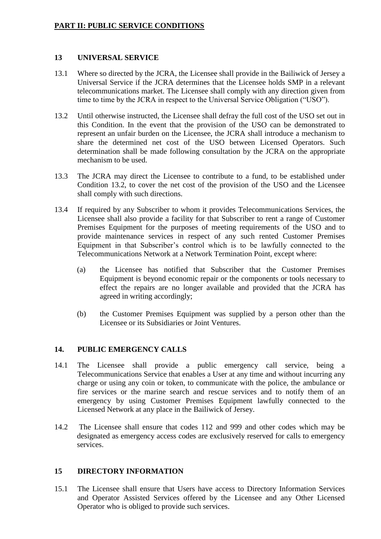## **13 UNIVERSAL SERVICE**

- 13.1 Where so directed by the JCRA, the Licensee shall provide in the Bailiwick of Jersey a Universal Service if the JCRA determines that the Licensee holds SMP in a relevant telecommunications market. The Licensee shall comply with any direction given from time to time by the JCRA in respect to the Universal Service Obligation ("USO").
- 13.2 Until otherwise instructed, the Licensee shall defray the full cost of the USO set out in this Condition. In the event that the provision of the USO can be demonstrated to represent an unfair burden on the Licensee, the JCRA shall introduce a mechanism to share the determined net cost of the USO between Licensed Operators. Such determination shall be made following consultation by the JCRA on the appropriate mechanism to be used.
- 13.3 The JCRA may direct the Licensee to contribute to a fund, to be established under Condition 13.2, to cover the net cost of the provision of the USO and the Licensee shall comply with such directions.
- 13.4 If required by any Subscriber to whom it provides Telecommunications Services, the Licensee shall also provide a facility for that Subscriber to rent a range of Customer Premises Equipment for the purposes of meeting requirements of the USO and to provide maintenance services in respect of any such rented Customer Premises Equipment in that Subscriber's control which is to be lawfully connected to the Telecommunications Network at a Network Termination Point, except where:
	- (a) the Licensee has notified that Subscriber that the Customer Premises Equipment is beyond economic repair or the components or tools necessary to effect the repairs are no longer available and provided that the JCRA has agreed in writing accordingly;
	- (b) the Customer Premises Equipment was supplied by a person other than the Licensee or its Subsidiaries or Joint Ventures.

# **14. PUBLIC EMERGENCY CALLS**

- 14.1 The Licensee shall provide a public emergency call service, being a Telecommunications Service that enables a User at any time and without incurring any charge or using any coin or token, to communicate with the police, the ambulance or fire services or the marine search and rescue services and to notify them of an emergency by using Customer Premises Equipment lawfully connected to the Licensed Network at any place in the Bailiwick of Jersey.
- 14.2 The Licensee shall ensure that codes 112 and 999 and other codes which may be designated as emergency access codes are exclusively reserved for calls to emergency services.

# **15 DIRECTORY INFORMATION**

15.1 The Licensee shall ensure that Users have access to Directory Information Services and Operator Assisted Services offered by the Licensee and any Other Licensed Operator who is obliged to provide such services.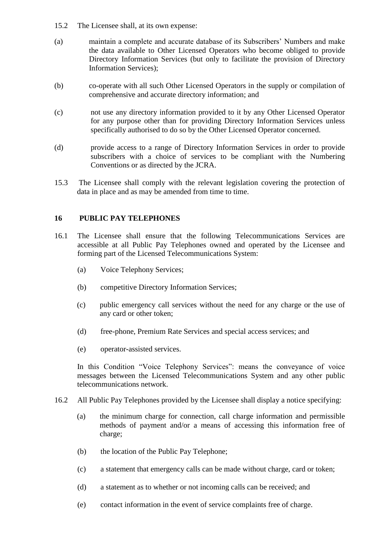- 15.2 The Licensee shall, at its own expense:
- (a) maintain a complete and accurate database of its Subscribers' Numbers and make the data available to Other Licensed Operators who become obliged to provide Directory Information Services (but only to facilitate the provision of Directory Information Services);
- (b) co-operate with all such Other Licensed Operators in the supply or compilation of comprehensive and accurate directory information; and
- (c) not use any directory information provided to it by any Other Licensed Operator for any purpose other than for providing Directory Information Services unless specifically authorised to do so by the Other Licensed Operator concerned.
- (d) provide access to a range of Directory Information Services in order to provide subscribers with a choice of services to be compliant with the Numbering Conventions or as directed by the JCRA.
- 15.3 The Licensee shall comply with the relevant legislation covering the protection of data in place and as may be amended from time to time.

#### **16 PUBLIC PAY TELEPHONES**

- 16.1 The Licensee shall ensure that the following Telecommunications Services are accessible at all Public Pay Telephones owned and operated by the Licensee and forming part of the Licensed Telecommunications System:
	- (a) Voice Telephony Services;
	- (b) competitive Directory Information Services;
	- (c) public emergency call services without the need for any charge or the use of any card or other token;
	- (d) free-phone, Premium Rate Services and special access services; and
	- (e) operator-assisted services.

In this Condition "Voice Telephony Services": means the conveyance of voice messages between the Licensed Telecommunications System and any other public telecommunications network.

- 16.2 All Public Pay Telephones provided by the Licensee shall display a notice specifying:
	- (a) the minimum charge for connection, call charge information and permissible methods of payment and/or a means of accessing this information free of charge;
	- (b) the location of the Public Pay Telephone;
	- (c) a statement that emergency calls can be made without charge, card or token;
	- (d) a statement as to whether or not incoming calls can be received; and
	- (e) contact information in the event of service complaints free of charge.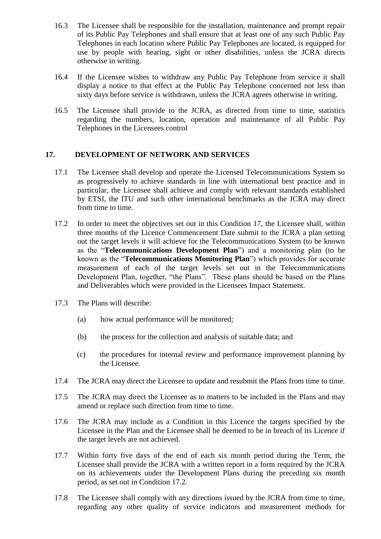- 16.3 The Licensee shall be responsible for the installation, maintenance and prompt repair of its Public Pay Telephones and shall ensure that at least one of any such Public Pay Telephones in each location where Public Pay Telephones are located, is equipped for use by people with hearing, sight or other disabilities, unless the JCRA directs otherwise in writing.
- 16.4 If the Licensee wishes to withdraw any Public Pay Telephone from service it shall display a notice to that effect at the Public Pay Telephone concerned not less than sixty days before service is withdrawn, unless the JCRA agrees otherwise in writing.
- 16.5 The Licensee shall provide to the JCRA, as directed from time to time, statistics regarding the numbers, location, operation and maintenance of all Public Pay Telephones in the Licensees control

#### **17. DEVELOPMENT OF NETWORK AND SERVICES**

- 17.1 The Licensee shall develop and operate the Licensed Telecommunications System so as progressively to achieve standards in line with international best practice and in particular, the Licensee shall achieve and comply with relevant standards established by ETSI, the ITU and such other international benchmarks as the JCRA may direct from time to time.
- 17.2 In order to meet the objectives set out in this Condition 17, the Licensee shall, within three months of the Licence Commencement Date submit to the JCRA a plan setting out the target levels it will achieve for the Telecommunications System (to be known as the "**Telecommunications Development Plan**") and a monitoring plan (to be known as the "**Telecommunications Monitoring Plan**") which provides for accurate measurement of each of the target levels set out in the Telecommunications Development Plan, together, "the Plans". These plans should be based on the Plans and Deliverables which were provided in the Licensees Impact Statement.
- 17.3 The Plans will describe:
	- (a) how actual performance will be monitored;
	- (b) the process for the collection and analysis of suitable data; and
	- (c) the procedures for internal review and performance improvement planning by the Licensee.
- 17.4 The JCRA may direct the Licensee to update and resubmit the Plans from time to time.
- 17.5 The JCRA may direct the Licensee as to matters to be included in the Plans and may amend or replace such direction from time to time.
- 17.6 The JCRA may include as a Condition in this Licence the targets specified by the Licensee in the Plan and the Licensee shall be deemed to be in breach of its Licence if the target levels are not achieved.
- 17.7 Within forty five days of the end of each six month period during the Term, the Licensee shall provide the JCRA with a written report in a form required by the JCRA on its achievements under the Development Plans during the preceding six month period, as set out in Condition 17.2.
- 17.8 The Licensee shall comply with any directions issued by the JCRA from time to time, regarding any other quality of service indicators and measurement methods for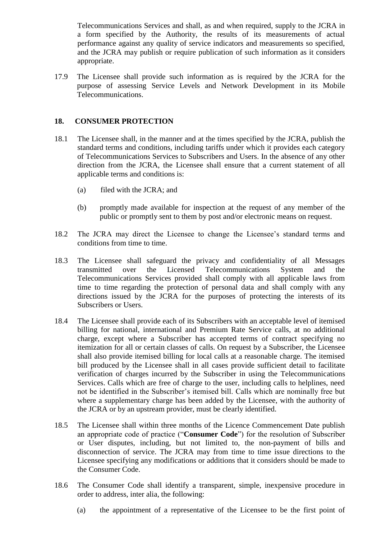Telecommunications Services and shall, as and when required, supply to the JCRA in a form specified by the Authority, the results of its measurements of actual performance against any quality of service indicators and measurements so specified, and the JCRA may publish or require publication of such information as it considers appropriate.

17.9 The Licensee shall provide such information as is required by the JCRA for the purpose of assessing Service Levels and Network Development in its Mobile Telecommunications.

## **18. CONSUMER PROTECTION**

- 18.1 The Licensee shall, in the manner and at the times specified by the JCRA, publish the standard terms and conditions, including tariffs under which it provides each category of Telecommunications Services to Subscribers and Users. In the absence of any other direction from the JCRA, the Licensee shall ensure that a current statement of all applicable terms and conditions is:
	- (a) filed with the JCRA; and
	- (b) promptly made available for inspection at the request of any member of the public or promptly sent to them by post and/or electronic means on request.
- 18.2 The JCRA may direct the Licensee to change the Licensee's standard terms and conditions from time to time.
- 18.3 The Licensee shall safeguard the privacy and confidentiality of all Messages transmitted over the Licensed Telecommunications System and the Telecommunications Services provided shall comply with all applicable laws from time to time regarding the protection of personal data and shall comply with any directions issued by the JCRA for the purposes of protecting the interests of its Subscribers or Users.
- 18.4 The Licensee shall provide each of its Subscribers with an acceptable level of itemised billing for national, international and Premium Rate Service calls, at no additional charge, except where a Subscriber has accepted terms of contract specifying no itemization for all or certain classes of calls. On request by a Subscriber, the Licensee shall also provide itemised billing for local calls at a reasonable charge. The itemised bill produced by the Licensee shall in all cases provide sufficient detail to facilitate verification of charges incurred by the Subscriber in using the Telecommunications Services. Calls which are free of charge to the user, including calls to helplines, need not be identified in the Subscriber's itemised bill. Calls which are nominally free but where a supplementary charge has been added by the Licensee, with the authority of the JCRA or by an upstream provider, must be clearly identified.
- 18.5 The Licensee shall within three months of the Licence Commencement Date publish an appropriate code of practice ("**Consumer Code**") for the resolution of Subscriber or User disputes, including, but not limited to, the non-payment of bills and disconnection of service. The JCRA may from time to time issue directions to the Licensee specifying any modifications or additions that it considers should be made to the Consumer Code.
- 18.6 The Consumer Code shall identify a transparent, simple, inexpensive procedure in order to address, inter alia, the following:
	- (a) the appointment of a representative of the Licensee to be the first point of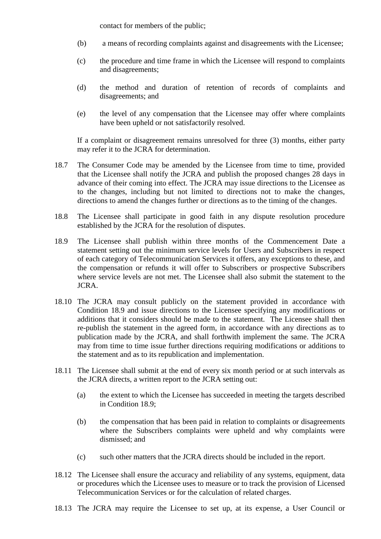contact for members of the public;

- (b) a means of recording complaints against and disagreements with the Licensee;
- (c) the procedure and time frame in which the Licensee will respond to complaints and disagreements;
- (d) the method and duration of retention of records of complaints and disagreements; and
- (e) the level of any compensation that the Licensee may offer where complaints have been upheld or not satisfactorily resolved.

If a complaint or disagreement remains unresolved for three (3) months, either party may refer it to the JCRA for determination.

- 18.7 The Consumer Code may be amended by the Licensee from time to time, provided that the Licensee shall notify the JCRA and publish the proposed changes 28 days in advance of their coming into effect. The JCRA may issue directions to the Licensee as to the changes, including but not limited to directions not to make the changes, directions to amend the changes further or directions as to the timing of the changes.
- 18.8 The Licensee shall participate in good faith in any dispute resolution procedure established by the JCRA for the resolution of disputes.
- 18.9 The Licensee shall publish within three months of the Commencement Date a statement setting out the minimum service levels for Users and Subscribers in respect of each category of Telecommunication Services it offers, any exceptions to these, and the compensation or refunds it will offer to Subscribers or prospective Subscribers where service levels are not met. The Licensee shall also submit the statement to the JCRA.
- 18.10 The JCRA may consult publicly on the statement provided in accordance with Condition 18.9 and issue directions to the Licensee specifying any modifications or additions that it considers should be made to the statement. The Licensee shall then re-publish the statement in the agreed form, in accordance with any directions as to publication made by the JCRA, and shall forthwith implement the same. The JCRA may from time to time issue further directions requiring modifications or additions to the statement and as to its republication and implementation.
- 18.11 The Licensee shall submit at the end of every six month period or at such intervals as the JCRA directs, a written report to the JCRA setting out:
	- (a) the extent to which the Licensee has succeeded in meeting the targets described in Condition 18.9;
	- (b) the compensation that has been paid in relation to complaints or disagreements where the Subscribers complaints were upheld and why complaints were dismissed; and
	- (c) such other matters that the JCRA directs should be included in the report.
- 18.12 The Licensee shall ensure the accuracy and reliability of any systems, equipment, data or procedures which the Licensee uses to measure or to track the provision of Licensed Telecommunication Services or for the calculation of related charges.
- 18.13 The JCRA may require the Licensee to set up, at its expense, a User Council or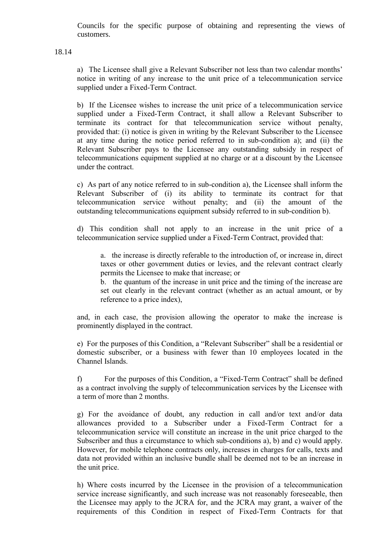Councils for the specific purpose of obtaining and representing the views of customers.

18.14

a) The Licensee shall give a Relevant Subscriber not less than two calendar months' notice in writing of any increase to the unit price of a telecommunication service supplied under a Fixed-Term Contract.

b) If the Licensee wishes to increase the unit price of a telecommunication service supplied under a Fixed-Term Contract, it shall allow a Relevant Subscriber to terminate its contract for that telecommunication service without penalty, provided that: (i) notice is given in writing by the Relevant Subscriber to the Licensee at any time during the notice period referred to in sub-condition a); and (ii) the Relevant Subscriber pays to the Licensee any outstanding subsidy in respect of telecommunications equipment supplied at no charge or at a discount by the Licensee under the contract.

c) As part of any notice referred to in sub-condition a), the Licensee shall inform the Relevant Subscriber of (i) its ability to terminate its contract for that telecommunication service without penalty; and (ii) the amount of the outstanding telecommunications equipment subsidy referred to in sub-condition b).

d) This condition shall not apply to an increase in the unit price of a telecommunication service supplied under a Fixed-Term Contract, provided that:

a. the increase is directly referable to the introduction of, or increase in, direct taxes or other government duties or levies, and the relevant contract clearly permits the Licensee to make that increase; or

b. the quantum of the increase in unit price and the timing of the increase are set out clearly in the relevant contract (whether as an actual amount, or by reference to a price index),

and, in each case, the provision allowing the operator to make the increase is prominently displayed in the contract.

e) For the purposes of this Condition, a "Relevant Subscriber" shall be a residential or domestic subscriber, or a business with fewer than 10 employees located in the Channel Islands.

f) For the purposes of this Condition, a "Fixed-Term Contract" shall be defined as a contract involving the supply of telecommunication services by the Licensee with a term of more than 2 months.

g) For the avoidance of doubt, any reduction in call and/or text and/or data allowances provided to a Subscriber under a Fixed-Term Contract for a telecommunication service will constitute an increase in the unit price charged to the Subscriber and thus a circumstance to which sub-conditions a), b) and c) would apply. However, for mobile telephone contracts only, increases in charges for calls, texts and data not provided within an inclusive bundle shall be deemed not to be an increase in the unit price.

h) Where costs incurred by the Licensee in the provision of a telecommunication service increase significantly, and such increase was not reasonably foreseeable, then the Licensee may apply to the JCRA for, and the JCRA may grant, a waiver of the requirements of this Condition in respect of Fixed-Term Contracts for that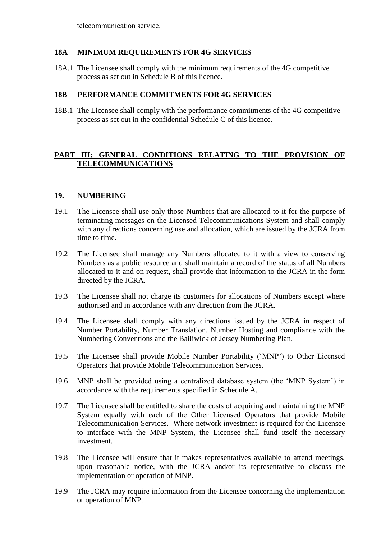telecommunication service.

#### **18A MINIMUM REQUIREMENTS FOR 4G SERVICES**

18A.1 The Licensee shall comply with the minimum requirements of the 4G competitive process as set out in Schedule B of this licence.

#### **18B PERFORMANCE COMMITMENTS FOR 4G SERVICES**

18B.1 The Licensee shall comply with the performance commitments of the 4G competitive process as set out in the confidential Schedule C of this licence.

## **PART III: GENERAL CONDITIONS RELATING TO THE PROVISION OF TELECOMMUNICATIONS**

#### **19. NUMBERING**

- 19.1 The Licensee shall use only those Numbers that are allocated to it for the purpose of terminating messages on the Licensed Telecommunications System and shall comply with any directions concerning use and allocation, which are issued by the JCRA from time to time.
- 19.2 The Licensee shall manage any Numbers allocated to it with a view to conserving Numbers as a public resource and shall maintain a record of the status of all Numbers allocated to it and on request, shall provide that information to the JCRA in the form directed by the JCRA.
- 19.3 The Licensee shall not charge its customers for allocations of Numbers except where authorised and in accordance with any direction from the JCRA.
- 19.4 The Licensee shall comply with any directions issued by the JCRA in respect of Number Portability, Number Translation, Number Hosting and compliance with the Numbering Conventions and the Bailiwick of Jersey Numbering Plan.
- 19.5 The Licensee shall provide Mobile Number Portability ('MNP') to Other Licensed Operators that provide Mobile Telecommunication Services.
- 19.6 MNP shall be provided using a centralized database system (the 'MNP System') in accordance with the requirements specified in Schedule A.
- 19.7 The Licensee shall be entitled to share the costs of acquiring and maintaining the MNP System equally with each of the Other Licensed Operators that provide Mobile Telecommunication Services. Where network investment is required for the Licensee to interface with the MNP System, the Licensee shall fund itself the necessary investment.
- 19.8 The Licensee will ensure that it makes representatives available to attend meetings, upon reasonable notice, with the JCRA and/or its representative to discuss the implementation or operation of MNP.
- 19.9 The JCRA may require information from the Licensee concerning the implementation or operation of MNP.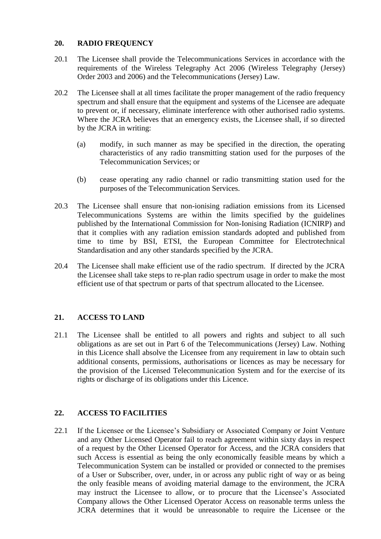# **20. RADIO FREQUENCY**

- 20.1 The Licensee shall provide the Telecommunications Services in accordance with the requirements of the Wireless Telegraphy Act 2006 (Wireless Telegraphy (Jersey) Order 2003 and 2006) and the Telecommunications (Jersey) Law.
- 20.2 The Licensee shall at all times facilitate the proper management of the radio frequency spectrum and shall ensure that the equipment and systems of the Licensee are adequate to prevent or, if necessary, eliminate interference with other authorised radio systems. Where the JCRA believes that an emergency exists, the Licensee shall, if so directed by the JCRA in writing:
	- (a) modify, in such manner as may be specified in the direction, the operating characteristics of any radio transmitting station used for the purposes of the Telecommunication Services; or
	- (b) cease operating any radio channel or radio transmitting station used for the purposes of the Telecommunication Services.
- 20.3 The Licensee shall ensure that non-ionising radiation emissions from its Licensed Telecommunications Systems are within the limits specified by the guidelines published by the International Commission for Non-Ionising Radiation (ICNIRP) and that it complies with any radiation emission standards adopted and published from time to time by BSI, ETSI, the European Committee for Electrotechnical Standardisation and any other standards specified by the JCRA.
- 20.4 The Licensee shall make efficient use of the radio spectrum. If directed by the JCRA the Licensee shall take steps to re-plan radio spectrum usage in order to make the most efficient use of that spectrum or parts of that spectrum allocated to the Licensee.

# **21. ACCESS TO LAND**

21.1 The Licensee shall be entitled to all powers and rights and subject to all such obligations as are set out in Part 6 of the Telecommunications (Jersey) Law. Nothing in this Licence shall absolve the Licensee from any requirement in law to obtain such additional consents, permissions, authorisations or licences as may be necessary for the provision of the Licensed Telecommunication System and for the exercise of its rights or discharge of its obligations under this Licence.

# **22. ACCESS TO FACILITIES**

22.1 If the Licensee or the Licensee's Subsidiary or Associated Company or Joint Venture and any Other Licensed Operator fail to reach agreement within sixty days in respect of a request by the Other Licensed Operator for Access, and the JCRA considers that such Access is essential as being the only economically feasible means by which a Telecommunication System can be installed or provided or connected to the premises of a User or Subscriber, over, under, in or across any public right of way or as being the only feasible means of avoiding material damage to the environment, the JCRA may instruct the Licensee to allow, or to procure that the Licensee's Associated Company allows the Other Licensed Operator Access on reasonable terms unless the JCRA determines that it would be unreasonable to require the Licensee or the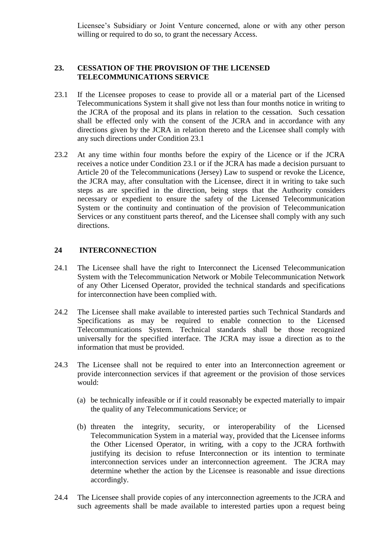Licensee's Subsidiary or Joint Venture concerned, alone or with any other person willing or required to do so, to grant the necessary Access.

## **23. CESSATION OF THE PROVISION OF THE LICENSED TELECOMMUNICATIONS SERVICE**

- 23.1 If the Licensee proposes to cease to provide all or a material part of the Licensed Telecommunications System it shall give not less than four months notice in writing to the JCRA of the proposal and its plans in relation to the cessation. Such cessation shall be effected only with the consent of the JCRA and in accordance with any directions given by the JCRA in relation thereto and the Licensee shall comply with any such directions under Condition 23.1
- 23.2 At any time within four months before the expiry of the Licence or if the JCRA receives a notice under Condition 23.1 or if the JCRA has made a decision pursuant to Article 20 of the Telecommunications (Jersey) Law to suspend or revoke the Licence, the JCRA may, after consultation with the Licensee, direct it in writing to take such steps as are specified in the direction, being steps that the Authority considers necessary or expedient to ensure the safety of the Licensed Telecommunication System or the continuity and continuation of the provision of Telecommunication Services or any constituent parts thereof, and the Licensee shall comply with any such directions.

#### **24 INTERCONNECTION**

- 24.1 The Licensee shall have the right to Interconnect the Licensed Telecommunication System with the Telecommunication Network or Mobile Telecommunication Network of any Other Licensed Operator, provided the technical standards and specifications for interconnection have been complied with.
- 24.2 The Licensee shall make available to interested parties such Technical Standards and Specifications as may be required to enable connection to the Licensed Telecommunications System. Technical standards shall be those recognized universally for the specified interface. The JCRA may issue a direction as to the information that must be provided.
- 24.3 The Licensee shall not be required to enter into an Interconnection agreement or provide interconnection services if that agreement or the provision of those services would:
	- (a) be technically infeasible or if it could reasonably be expected materially to impair the quality of any Telecommunications Service; or
	- (b) threaten the integrity, security, or interoperability of the Licensed Telecommunication System in a material way, provided that the Licensee informs the Other Licensed Operator, in writing, with a copy to the JCRA forthwith justifying its decision to refuse Interconnection or its intention to terminate interconnection services under an interconnection agreement. The JCRA may determine whether the action by the Licensee is reasonable and issue directions accordingly.
- 24.4 The Licensee shall provide copies of any interconnection agreements to the JCRA and such agreements shall be made available to interested parties upon a request being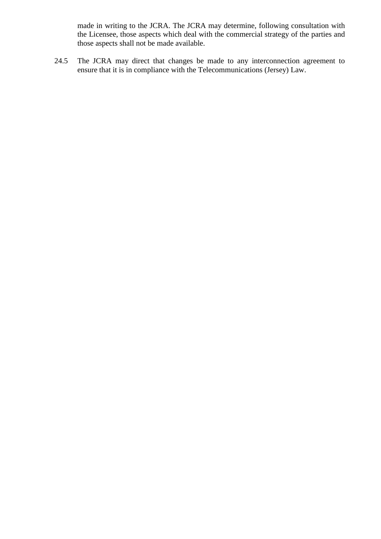made in writing to the JCRA. The JCRA may determine, following consultation with the Licensee, those aspects which deal with the commercial strategy of the parties and those aspects shall not be made available.

24.5 The JCRA may direct that changes be made to any interconnection agreement to ensure that it is in compliance with the Telecommunications (Jersey) Law.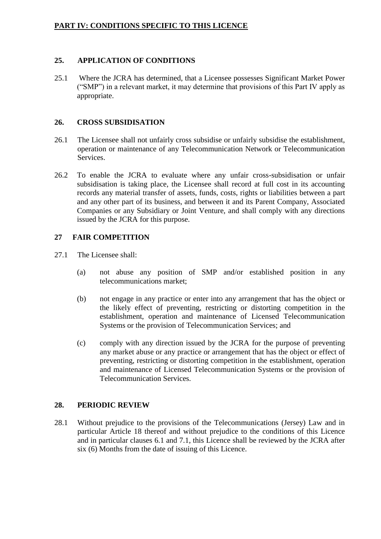#### **25. APPLICATION OF CONDITIONS**

25.1 Where the JCRA has determined, that a Licensee possesses Significant Market Power ("SMP") in a relevant market, it may determine that provisions of this Part IV apply as appropriate.

#### **26. CROSS SUBSIDISATION**

- 26.1 The Licensee shall not unfairly cross subsidise or unfairly subsidise the establishment, operation or maintenance of any Telecommunication Network or Telecommunication Services.
- 26.2 To enable the JCRA to evaluate where any unfair cross-subsidisation or unfair subsidisation is taking place, the Licensee shall record at full cost in its accounting records any material transfer of assets, funds, costs, rights or liabilities between a part and any other part of its business, and between it and its Parent Company, Associated Companies or any Subsidiary or Joint Venture, and shall comply with any directions issued by the JCRA for this purpose.

# **27 FAIR COMPETITION**

- 27.1 The Licensee shall:
	- (a) not abuse any position of SMP and/or established position in any telecommunications market;
	- (b) not engage in any practice or enter into any arrangement that has the object or the likely effect of preventing, restricting or distorting competition in the establishment, operation and maintenance of Licensed Telecommunication Systems or the provision of Telecommunication Services; and
	- (c) comply with any direction issued by the JCRA for the purpose of preventing any market abuse or any practice or arrangement that has the object or effect of preventing, restricting or distorting competition in the establishment, operation and maintenance of Licensed Telecommunication Systems or the provision of Telecommunication Services.

# **28. PERIODIC REVIEW**

28.1 Without prejudice to the provisions of the Telecommunications (Jersey) Law and in particular Article 18 thereof and without prejudice to the conditions of this Licence and in particular clauses 6.1 and 7.1, this Licence shall be reviewed by the JCRA after six (6) Months from the date of issuing of this Licence.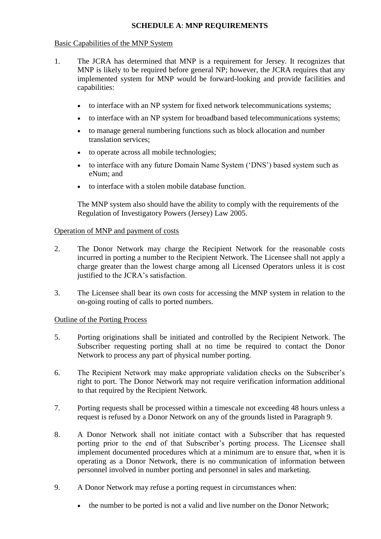# **SCHEDULE A**: **MNP REQUIREMENTS**

#### Basic Capabilities of the MNP System

- 1. The JCRA has determined that MNP is a requirement for Jersey. It recognizes that MNP is likely to be required before general NP; however, the JCRA requires that any implemented system for MNP would be forward-looking and provide facilities and capabilities:
	- to interface with an NP system for fixed network telecommunications systems;
	- to interface with an NP system for broadband based telecommunications systems;
	- to manage general numbering functions such as block allocation and number translation services;
	- to operate across all mobile technologies;
	- to interface with any future Domain Name System ('DNS') based system such as eNum; and
	- to interface with a stolen mobile database function.

The MNP system also should have the ability to comply with the requirements of the Regulation of Investigatory Powers (Jersey) Law 2005.

#### Operation of MNP and payment of costs

- 2. The Donor Network may charge the Recipient Network for the reasonable costs incurred in porting a number to the Recipient Network. The Licensee shall not apply a charge greater than the lowest charge among all Licensed Operators unless it is cost justified to the JCRA's satisfaction.
- 3. The Licensee shall bear its own costs for accessing the MNP system in relation to the on-going routing of calls to ported numbers.

#### Outline of the Porting Process

- 5. Porting originations shall be initiated and controlled by the Recipient Network. The Subscriber requesting porting shall at no time be required to contact the Donor Network to process any part of physical number porting.
- 6. The Recipient Network may make appropriate validation checks on the Subscriber's right to port. The Donor Network may not require verification information additional to that required by the Recipient Network.
- 7. Porting requests shall be processed within a timescale not exceeding 48 hours unless a request is refused by a Donor Network on any of the grounds listed in Paragraph 9.
- 8. A Donor Network shall not initiate contact with a Subscriber that has requested porting prior to the end of that Subscriber's porting process. The Licensee shall implement documented procedures which at a minimum are to ensure that, when it is operating as a Donor Network, there is no communication of information between personnel involved in number porting and personnel in sales and marketing.
- 9. A Donor Network may refuse a porting request in circumstances when:
	- the number to be ported is not a valid and live number on the Donor Network;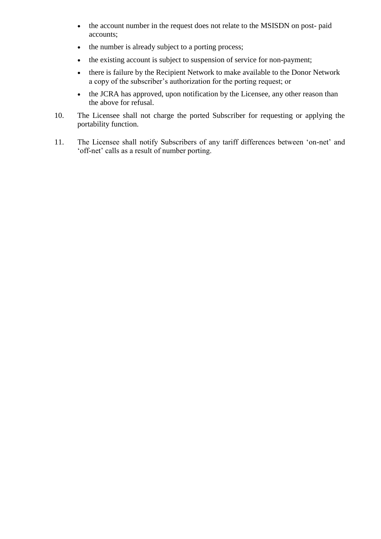- the account number in the request does not relate to the MSISDN on post- paid accounts;
- the number is already subject to a porting process;
- the existing account is subject to suspension of service for non-payment;
- there is failure by the Recipient Network to make available to the Donor Network a copy of the subscriber's authorization for the porting request; or
- the JCRA has approved, upon notification by the Licensee, any other reason than the above for refusal.
- 10. The Licensee shall not charge the ported Subscriber for requesting or applying the portability function.
- 11. The Licensee shall notify Subscribers of any tariff differences between 'on-net' and 'off-net' calls as a result of number porting.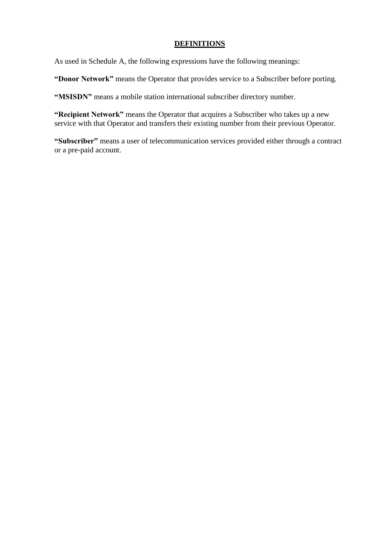#### **DEFINITIONS**

As used in Schedule A, the following expressions have the following meanings:

**"Donor Network"** means the Operator that provides service to a Subscriber before porting.

**"MSISDN"** means a mobile station international subscriber directory number.

**"Recipient Network"** means the Operator that acquires a Subscriber who takes up a new service with that Operator and transfers their existing number from their previous Operator.

**"Subscriber"** means a user of telecommunication services provided either through a contract or a pre-paid account.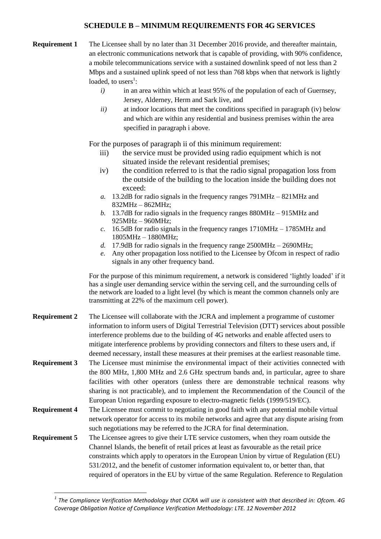#### **SCHEDULE B – MINIMUM REQUIREMENTS FOR 4G SERVICES**

- **Requirement 1** The Licensee shall by no later than 31 December 2016 provide, and thereafter maintain, an electronic communications network that is capable of providing, with 90% confidence, a mobile telecommunications service with a sustained downlink speed of not less than 2 Mbps and a sustained uplink speed of not less than 768 kbps when that network is lightly loaded, to users $^1$ :
	- *i*) in an area within which at least 95% of the population of each of Guernsey, Jersey, Alderney, Herm and Sark live, and
	- *ii)* at indoor locations that meet the conditions specified in paragraph (iv) below and which are within any residential and business premises within the area specified in paragraph i above.

For the purposes of paragraph ii of this minimum requirement:

- iii) the service must be provided using radio equipment which is not situated inside the relevant residential premises;
- iv) the condition referred to is that the radio signal propagation loss from the outside of the building to the location inside the building does not exceed:
- *a.* 13.2dB for radio signals in the frequency ranges 791MHz 821MHz and 832MHz – 862MHz;
- *b.* 13.7dB for radio signals in the frequency ranges 880MHz 915MHz and 925MHz – 960MHz;
- *c.* 16.5dB for radio signals in the frequency ranges 1710MHz 1785MHz and 1805MHz – 1880MHz;
- *d.* 17.9dB for radio signals in the frequency range 2500MHz 2690MHz;
- *e.* Any other propagation loss notified to the Licensee by Ofcom in respect of radio signals in any other frequency band.

For the purpose of this minimum requirement, a network is considered 'lightly loaded' if it has a single user demanding service within the serving cell, and the surrounding cells of the network are loaded to a light level (by which is meant the common channels only are transmitting at 22% of the maximum cell power).

- **Requirement 2** The Licensee will collaborate with the JCRA and implement a programme of customer information to inform users of Digital Terrestrial Television (DTT) services about possible interference problems due to the building of 4G networks and enable affected users to mitigate interference problems by providing connectors and filters to these users and, if deemed necessary, install these measures at their premises at the earliest reasonable time.
- **Requirement 3** The Licensee must minimise the environmental impact of their activities connected with the 800 MHz, 1,800 MHz and 2.6 GHz spectrum bands and, in particular, agree to share facilities with other operators (unless there are demonstrable technical reasons why sharing is not practicable), and to implement the Recommendation of the Council of the European Union regarding exposure to electro-magnetic fields (1999/519/EC).
- **Requirement 4** The Licensee must commit to negotiating in good faith with any potential mobile virtual network operator for access to its mobile networks and agree that any dispute arising from such negotiations may be referred to the JCRA for final determination.
- **Requirement 5** The Licensee agrees to give their LTE service customers, when they roam outside the Channel Islands, the benefit of retail prices at least as favourable as the retail price constraints which apply to operators in the European Union by virtue of Regulation (EU) 531/2012, and the benefit of customer information equivalent to, or better than, that required of operators in the EU by virtue of the same Regulation. Reference to Regulation

 $\overline{a}$ 

<sup>&</sup>lt;sup>1</sup> The Compliance Verification Methodology that CICRA will use is consistent with that described in: Ofcom. 4G *Coverage Obligation Notice of Compliance Verification Methodology: LTE. 12 November 2012*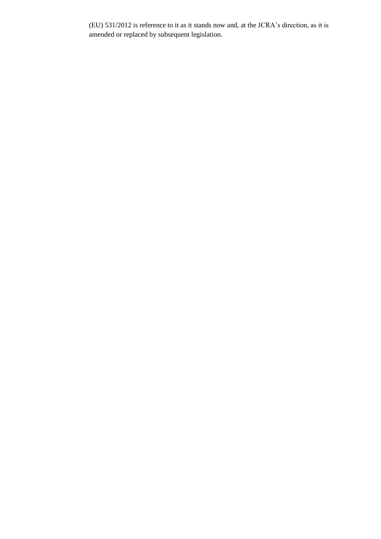(EU) 531/2012 is reference to it as it stands now and, at the JCRA's direction, as it is amended or replaced by subsequent legislation.